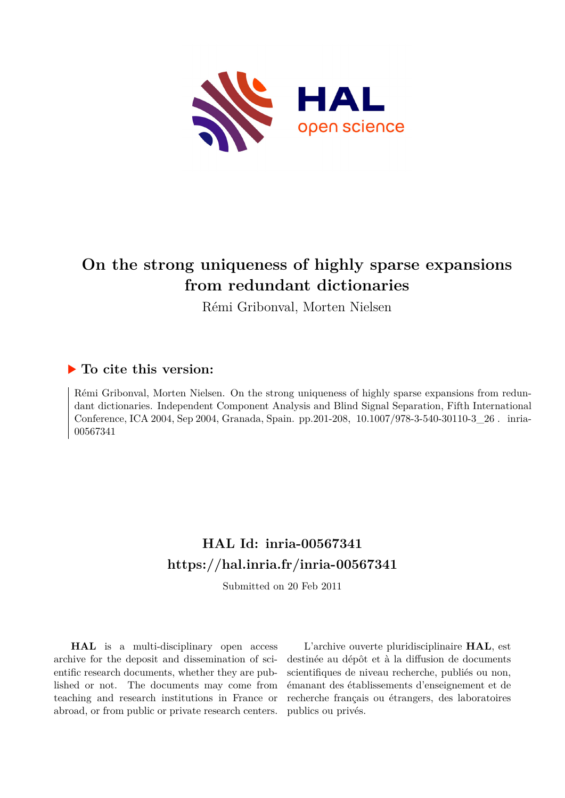

# **On the strong uniqueness of highly sparse expansions from redundant dictionaries**

Rémi Gribonval, Morten Nielsen

## **To cite this version:**

Rémi Gribonval, Morten Nielsen. On the strong uniqueness of highly sparse expansions from redundant dictionaries. Independent Component Analysis and Blind Signal Separation, Fifth International Conference, ICA 2004, Sep 2004, Granada, Spain. pp.201-208, 10.1007/978-3-540-30110-3\_26. inria-00567341

# **HAL Id: inria-00567341 <https://hal.inria.fr/inria-00567341>**

Submitted on 20 Feb 2011

**HAL** is a multi-disciplinary open access archive for the deposit and dissemination of scientific research documents, whether they are published or not. The documents may come from teaching and research institutions in France or abroad, or from public or private research centers.

L'archive ouverte pluridisciplinaire **HAL**, est destinée au dépôt et à la diffusion de documents scientifiques de niveau recherche, publiés ou non, émanant des établissements d'enseignement et de recherche français ou étrangers, des laboratoires publics ou privés.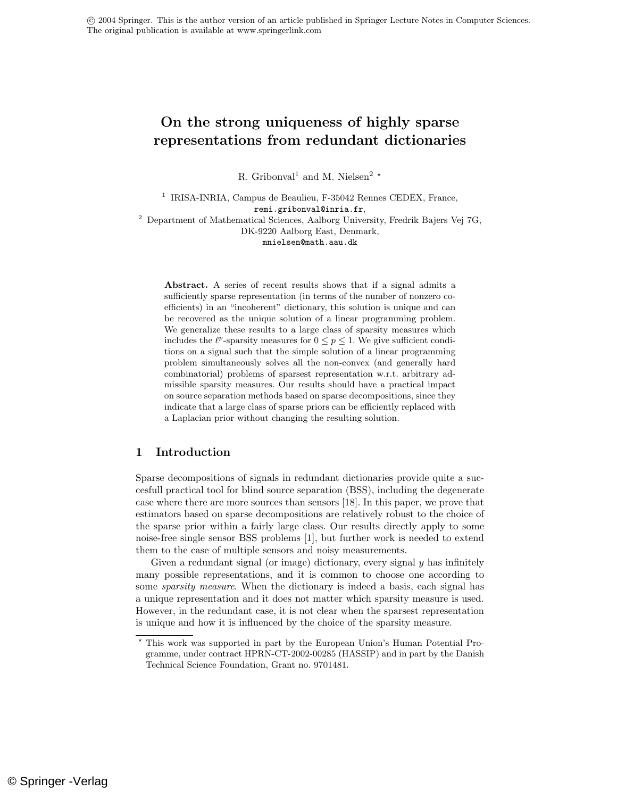## On the strong uniqueness of highly sparse representations from redundant dictionaries

R. Gribonval<sup>1</sup> and M. Nielsen<sup>2</sup>  $^{\star}$ 

<sup>1</sup> IRISA-INRIA, Campus de Beaulieu, F-35042 Rennes CEDEX, France, remi.gribonval@inria.fr, <sup>2</sup> Department of Mathematical Sciences, Aalborg University, Fredrik Bajers Vej 7G, DK-9220 Aalborg East, Denmark, mnielsen@math.aau.dk

Abstract. A series of recent results shows that if a signal admits a sufficiently sparse representation (in terms of the number of nonzero coefficients) in an "incoherent" dictionary, this solution is unique and can be recovered as the unique solution of a linear programming problem. We generalize these results to a large class of sparsity measures which includes the  $\ell^p$ -sparsity measures for  $0 \le p \le 1$ . We give sufficient conditions on a signal such that the simple solution of a linear programming problem simultaneously solves all the non-convex (and generally hard combinatorial) problems of sparsest representation w.r.t. arbitrary admissible sparsity measures. Our results should have a practical impact on source separation methods based on sparse decompositions, since they indicate that a large class of sparse priors can be efficiently replaced with a Laplacian prior without changing the resulting solution.

### 1 Introduction

Sparse decompositions of signals in redundant dictionaries provide quite a succesfull practical tool for blind source separation (BSS), including the degenerate case where there are more sources than sensors [18]. In this paper, we prove that estimators based on sparse decompositions are relatively robust to the choice of the sparse prior within a fairly large class. Our results directly apply to some noise-free single sensor BSS problems [1], but further work is needed to extend them to the case of multiple sensors and noisy measurements.

Given a redundant signal (or image) dictionary, every signal  $y$  has infinitely many possible representations, and it is common to choose one according to some *sparsity measure*. When the dictionary is indeed a basis, each signal has a unique representation and it does not matter which sparsity measure is used. However, in the redundant case, it is not clear when the sparsest representation is unique and how it is influenced by the choice of the sparsity measure.

<sup>?</sup> This work was supported in part by the European Union's Human Potential Programme, under contract HPRN-CT-2002-00285 (HASSIP) and in part by the Danish Technical Science Foundation, Grant no. 9701481.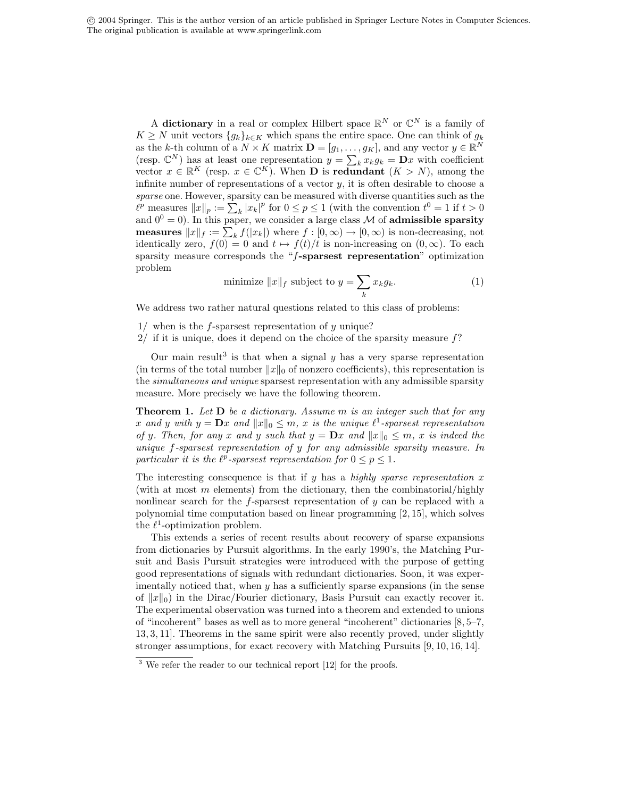c 2004 Springer. This is the author version of an article published in Springer Lecture Notes in Computer Sciences. The original publication is available at www.springerlink.com

> A dictionary in a real or complex Hilbert space  $\mathbb{R}^N$  or  $\mathbb{C}^N$  is a family of  $K \geq N$  unit vectors  $\{g_k\}_{k \in K}$  which spans the entire space. One can think of  $g_k$ as the k-th column of a  $N \times K$  matrix  $\mathbf{D} = [g_1, \ldots, g_K]$ , and any vector  $y \in \mathbb{R}^N$ (resp.  $\mathbb{C}^N$ ) has at least one representation  $y = \sum_k x_k g_k = \mathbf{D}x$  with coefficient vector  $x \in \mathbb{R}^K$  (resp.  $x \in \mathbb{C}^K$ ). When **D** is **redundant**  $(K > N)$ , among the infinite number of representations of a vector  $y$ , it is often desirable to choose a sparse one. However, sparsity can be measured with diverse quantities such as the  $\ell^p$  measures  $||x||_p := \sum_k |x_k|^p$  for  $0 \le p \le 1$  (with the convention  $t^0 = 1$  if  $t > 0$ and  $0^0 = 0$ ). In this paper, we consider a large class M of **admissible sparsity measures**  $||x||_f := \sum_k f(|x_k|)$  where  $f : [0, \infty) \to [0, \infty)$  is non-decreasing, not identically zero,  $f(0) = 0$  and  $t \mapsto f(t)/t$  is non-increasing on  $(0, \infty)$ . To each sparsity measure corresponds the "f-sparsest representation" optimization problem

minimize 
$$
||x||_f
$$
 subject to  $y = \sum_k x_k g_k$ . (1)

We address two rather natural questions related to this class of problems:

- $1/$  when is the f-sparsest representation of y unique?
- $2/$  if it is unique, does it depend on the choice of the sparsity measure  $f$ ?

Our main result<sup>3</sup> is that when a signal  $y$  has a very sparse representation (in terms of the total number  $||x||_0$  of nonzero coefficients), this representation is the simultaneous and unique sparsest representation with any admissible sparsity measure. More precisely we have the following theorem.

**Theorem 1.** Let  $D$  be a dictionary. Assume  $m$  is an integer such that for any x and y with  $y = \mathbf{D}x$  and  $||x||_0 \leq m$ , x is the unique  $\ell^1$ -sparsest representation of y. Then, for any x and y such that  $y = Dx$  and  $||x||_0 \le m$ , x is indeed the unique f-sparsest representation of y for any admissible sparsity measure. In particular it is the  $\ell^p$ -sparsest representation for  $0 \le p \le 1$ .

The interesting consequence is that if  $y$  has a highly sparse representation  $x$ (with at most  $m$  elements) from the dictionary, then the combinatorial/highly nonlinear search for the f-sparsest representation of y can be replaced with a polynomial time computation based on linear programming [2, 15], which solves the  $\ell^1$ -optimization problem.

This extends a series of recent results about recovery of sparse expansions from dictionaries by Pursuit algorithms. In the early 1990's, the Matching Pursuit and Basis Pursuit strategies were introduced with the purpose of getting good representations of signals with redundant dictionaries. Soon, it was experimentally noticed that, when  $y$  has a sufficiently sparse expansions (in the sense of  $||x||_0$ ) in the Dirac/Fourier dictionary, Basis Pursuit can exactly recover it. The experimental observation was turned into a theorem and extended to unions of "incoherent" bases as well as to more general "incoherent" dictionaries [8, 5–7, 13, 3, 11]. Theorems in the same spirit were also recently proved, under slightly stronger assumptions, for exact recovery with Matching Pursuits [9, 10, 16, 14].

<sup>&</sup>lt;sup>3</sup> We refer the reader to our technical report [12] for the proofs.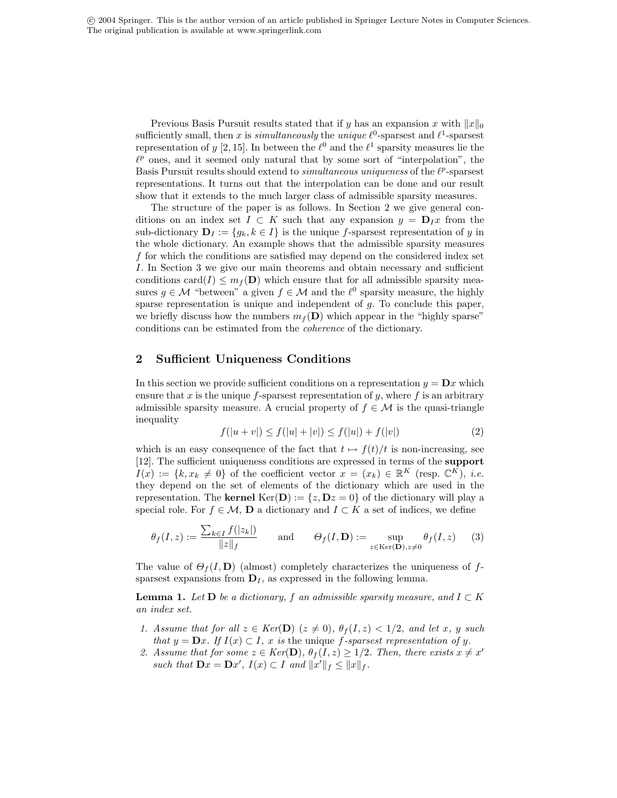Previous Basis Pursuit results stated that if y has an expansion x with  $||x||_0$ sufficiently small, then x is simultaneously the unique  $\ell^0$ -sparsest and  $\ell^1$ -sparsest representation of y [2, 15]. In between the  $\ell^0$  and the  $\ell^1$  sparsity measures lie the  $\ell^p$  ones, and it seemed only natural that by some sort of "interpolation", the Basis Pursuit results should extend to *simultaneous uniqueness* of the  $\ell^p$ -sparsest representations. It turns out that the interpolation can be done and our result show that it extends to the much larger class of admissible sparsity measures.

The structure of the paper is as follows. In Section 2 we give general conditions on an index set  $I \subset K$  such that any expansion  $y = D_I x$  from the sub-dictionary  $\mathbf{D}_I := \{g_k, k \in I\}$  is the unique f-sparsest representation of y in the whole dictionary. An example shows that the admissible sparsity measures f for which the conditions are satisfied may depend on the considered index set I. In Section 3 we give our main theorems and obtain necessary and sufficient conditions card(I)  $\leq m_f(\mathbf{D})$  which ensure that for all admissible sparsity measures  $g \in \mathcal{M}$  "between" a given  $f \in \mathcal{M}$  and the  $\ell^0$  sparsity measure, the highly sparse representation is unique and independent of g. To conclude this paper, we briefly discuss how the numbers  $m_f(D)$  which appear in the "highly sparse" conditions can be estimated from the coherence of the dictionary.

#### 2 Sufficient Uniqueness Conditions

In this section we provide sufficient conditions on a representation  $y = \mathbf{D}x$  which ensure that x is the unique f-sparsest representation of y, where f is an arbitrary admissible sparsity measure. A crucial property of  $f \in \mathcal{M}$  is the quasi-triangle inequality

$$
f(|u + v|) \le f(|u| + |v|) \le f(|u|) + f(|v|)
$$
 (2)

which is an easy consequence of the fact that  $t \mapsto f(t)/t$  is non-increasing, see [12]. The sufficient uniqueness conditions are expressed in terms of the support  $I(x) := \{k, x_k \neq 0\}$  of the coefficient vector  $x = (x_k) \in \mathbb{R}^K$  (resp.  $\mathbb{C}^K$ ), *i.e.* they depend on the set of elements of the dictionary which are used in the representation. The **kernel**  $\text{Ker}(\mathbf{D}) := \{z, \mathbf{D}z = 0\}$  of the dictionary will play a special role. For  $f \in \mathcal{M}$ , **D** a dictionary and  $I \subset K$  a set of indices, we define

$$
\theta_f(I, z) := \frac{\sum_{k \in I} f(|z_k|)}{\|z\|_f} \quad \text{and} \quad \Theta_f(I, \mathbf{D}) := \sup_{z \in \text{Ker}(\mathbf{D}), z \neq 0} \theta_f(I, z) \tag{3}
$$

The value of  $\Theta_f(I, D)$  (almost) completely characterizes the uniqueness of fsparsest expansions from  $D<sub>I</sub>$ , as expressed in the following lemma.

**Lemma 1.** Let **D** be a dictionary, f an admissible sparsity measure, and  $I \subset K$ an index set.

- 1. Assume that for all  $z \in Ker(D)$   $(z \neq 0)$ ,  $\theta_f(I, z) < 1/2$ , and let x, y such that  $y = \mathbf{D}x$ . If  $I(x) \subset I$ , x is the unique f-sparsest representation of y.
- 2. Assume that for some  $z \in Ker(D)$ ,  $\theta_f(I, z) \geq 1/2$ . Then, there exists  $x \neq x'$ such that  $\mathbf{D}x = \mathbf{D}x'$ ,  $I(x) \subset I$  and  $||x'||_f \leq ||x||_f$ .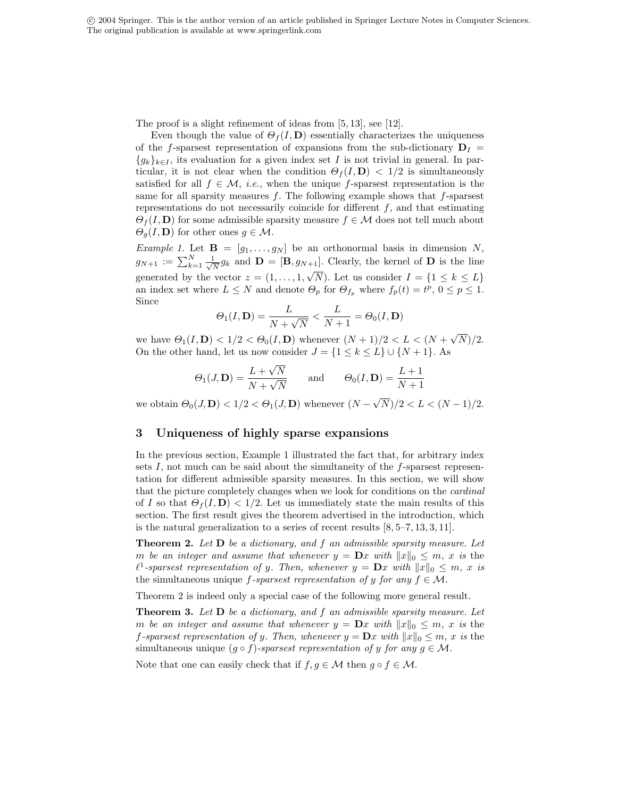The proof is a slight refinement of ideas from [5, 13], see [12].

Even though the value of  $\Theta_f(I, D)$  essentially characterizes the uniqueness of the f-sparsest representation of expansions from the sub-dictionary  $D<sub>I</sub>$  =  ${g_k}_{k\in I}$ , its evaluation for a given index set I is not trivial in general. In particular, it is not clear when the condition  $\Theta_f(I, D) < 1/2$  is simultaneously satisfied for all  $f \in \mathcal{M}$ , *i.e.*, when the unique f-sparsest representation is the same for all sparsity measures f. The following example shows that f-sparsest representations do not necessarily coincide for different  $f$ , and that estimating  $\Theta_f(I, \mathbf{D})$  for some admissible sparsity measure  $f \in \mathcal{M}$  does not tell much about  $\Theta_{q}(I, \mathbf{D})$  for other ones  $q \in \mathcal{M}$ .

Example 1. Let  $\mathbf{B} = [g_1, \ldots, g_N]$  be an orthonormal basis in dimension N,  $g_{N+1} := \sum_{k=1}^{N} \frac{1}{\sqrt{k}}$  $\frac{1}{N}g_k$  and  $\mathbf{D} = [\mathbf{B}, g_{N+1}]$ . Clearly, the kernel of  $\mathbf{D}$  is the line generated by the vector  $z = (1, \ldots, 1, \sqrt{N})$ . Let us consider  $I = \{1 \leq k \leq L\}$ an index set where  $L \leq N$  and denote  $\Theta_p$  for  $\Theta_{f_p}$  where  $f_p(t) = t^p$ ,  $0 \leq p \leq 1$ . Since

$$
\Theta_1(I, \mathbf{D}) = \frac{L}{N + \sqrt{N}} < \frac{L}{N+1} = \Theta_0(I, \mathbf{D})
$$

we have  $\Theta_1(I, \mathbf{D}) < 1/2 < \Theta_0(I, \mathbf{D})$  whenever  $(N+1)/2 < L < (N+1)$ √  $N)/2.$ On the other hand, let us now consider  $J = \{1 \le k \le L\} \cup \{N+1\}$ . As

$$
\Theta_1(J, \mathbf{D}) = \frac{L + \sqrt{N}}{N + \sqrt{N}}
$$
 and  $\Theta_0(I, \mathbf{D}) = \frac{L+1}{N+1}$ 

we obtain  $\Theta_0(J, \mathbf{D}) < 1/2 < \Theta_1(J, \mathbf{D})$  whenever  $(N -$ √  $(N)/2 < L < (N-1)/2.$ 

#### 3 Uniqueness of highly sparse expansions

In the previous section, Example 1 illustrated the fact that, for arbitrary index sets  $I$ , not much can be said about the simultaneity of the  $f$ -sparsest representation for different admissible sparsity measures. In this section, we will show that the picture completely changes when we look for conditions on the cardinal of I so that  $\Theta_f(I, D) < 1/2$ . Let us immediately state the main results of this section. The first result gives the theorem advertised in the introduction, which is the natural generalization to a series of recent results [8, 5–7, 13, 3, 11].

**Theorem 2.** Let  $D$  be a dictionary, and  $f$  an admissible sparsity measure. Let m be an integer and assume that whenever  $y = Dx$  with  $||x||_0 \leq m$ , x is the  $\ell^1$ -sparsest representation of y. Then, whenever  $y = \mathbf{D}x$  with  $||x||_0 \leq m$ , x is the simultaneous unique f-sparsest representation of y for any  $f \in \mathcal{M}$ .

Theorem 2 is indeed only a special case of the following more general result.

**Theorem 3.** Let  $D$  be a dictionary, and  $f$  an admissible sparsity measure. Let m be an integer and assume that whenever  $y = \mathbf{D}x$  with  $||x||_0 \leq m$ , x is the f-sparsest representation of y. Then, whenever  $y = \mathbf{D}x$  with  $||x||_0 \leq m$ , x is the simultaneous unique  $(g \circ f)$ -sparsest representation of y for any  $g \in \mathcal{M}$ .

Note that one can easily check that if  $f, g \in \mathcal{M}$  then  $g \circ f \in \mathcal{M}$ .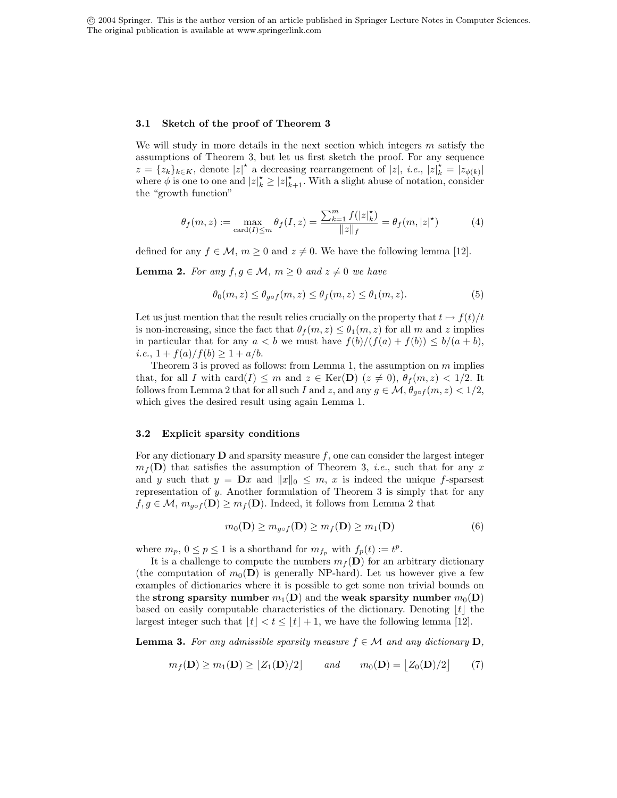c 2004 Springer. This is the author version of an article published in Springer Lecture Notes in Computer Sciences. The original publication is available at www.springerlink.com

#### 3.1 Sketch of the proof of Theorem 3

We will study in more details in the next section which integers  $m$  satisfy the assumptions of Theorem 3, but let us first sketch the proof. For any sequence  $z = \{z_k\}_{k \in K}$ , denote  $|z|^*$  a decreasing rearrangement of  $|z|$ , *i.e.*,  $|z|_k^* = |z_{\phi(k)}|$ where  $\phi$  is one to one and  $|z|_k^* \geq |z|_{k+1}^*$ . With a slight abuse of notation, consider the "growth function"

$$
\theta_f(m, z) := \max_{\text{card}(I) \le m} \theta_f(I, z) = \frac{\sum_{k=1}^m f(|z|_k^*)}{\|z\|_f} = \theta_f(m, |z|^\star)
$$
(4)

defined for any  $f \in \mathcal{M}$ ,  $m \geq 0$  and  $z \neq 0$ . We have the following lemma [12].

**Lemma 2.** For any  $f, g \in \mathcal{M}$ ,  $m \geq 0$  and  $z \neq 0$  we have

$$
\theta_0(m, z) \le \theta_{g \circ f}(m, z) \le \theta_f(m, z) \le \theta_1(m, z). \tag{5}
$$

Let us just mention that the result relies crucially on the property that  $t \mapsto f(t)/t$ is non-increasing, since the fact that  $\theta_f(m, z) \leq \theta_1(m, z)$  for all m and z implies in particular that for any  $a < b$  we must have  $f(b)/(f(a) + f(b)) \le b/(a + b)$ , i.e.,  $1 + f(a)/f(b) > 1 + a/b$ .

Theorem 3 is proved as follows: from Lemma 1, the assumption on  $m$  implies that, for all I with card(I)  $\leq m$  and  $z \in \text{Ker}(\mathbf{D})$  ( $z \neq 0$ ),  $\theta_f(m, z) < 1/2$ . It follows from Lemma 2 that for all such I and z, and any  $q \in \mathcal{M}$ ,  $\theta_{qof}(m, z) < 1/2$ , which gives the desired result using again Lemma 1.

#### 3.2 Explicit sparsity conditions

For any dictionary  **and sparsity measure f, one can consider the largest integer**  $m_f(D)$  that satisfies the assumption of Theorem 3, *i.e.*, such that for any x and y such that  $y = \mathbf{D}x$  and  $||x||_0 \leq m$ , x is indeed the unique f-sparsest representation of y. Another formulation of Theorem 3 is simply that for any  $f, g \in \mathcal{M}$ ,  $m_{g \circ f}(\mathbf{D}) \geq m_f(\mathbf{D})$ . Indeed, it follows from Lemma 2 that

$$
m_0(\mathbf{D}) \ge m_{g \circ f}(\mathbf{D}) \ge m_f(\mathbf{D}) \ge m_1(\mathbf{D})
$$
\n(6)

where  $m_p$ ,  $0 \le p \le 1$  is a shorthand for  $m_{f_p}$  with  $f_p(t) := t^p$ .

It is a challenge to compute the numbers  $m_f(D)$  for an arbitrary dictionary (the computation of  $m_0(D)$ ) is generally NP-hard). Let us however give a few examples of dictionaries where it is possible to get some non trivial bounds on the strong sparsity number  $m_1(D)$  and the weak sparsity number  $m_0(D)$ based on easily computable characteristics of the dictionary. Denoting  $|t|$  the largest integer such that  $|t| < t \leq |t| + 1$ , we have the following lemma [12].

**Lemma 3.** For any admissible sparsity measure  $f \in \mathcal{M}$  and any dictionary **D**,

$$
m_f(\mathbf{D}) \ge m_1(\mathbf{D}) \ge \lfloor Z_1(\mathbf{D})/2 \rfloor \qquad and \qquad m_0(\mathbf{D}) = \lfloor Z_0(\mathbf{D})/2 \rfloor \tag{7}
$$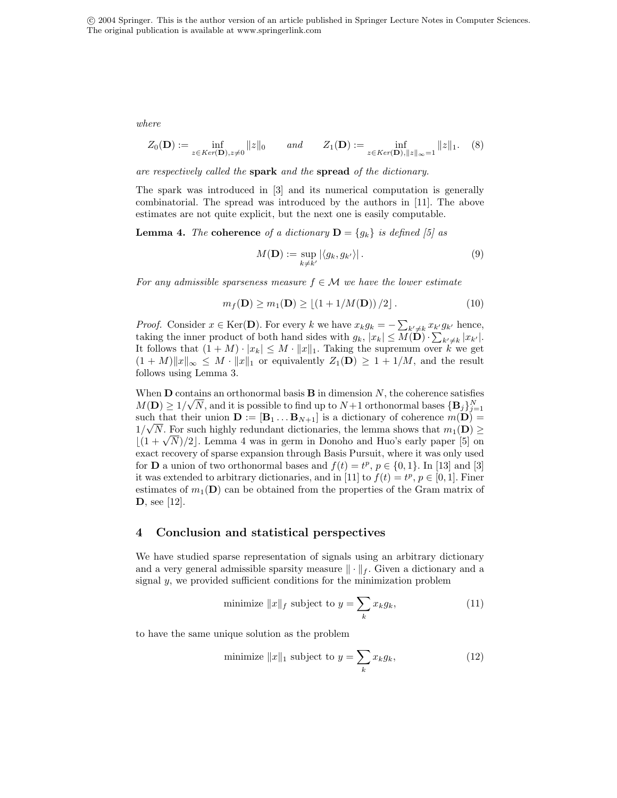c 2004 Springer. This is the author version of an article published in Springer Lecture Notes in Computer Sciences. The original publication is available at www.springerlink.com

where

$$
Z_0(\mathbf{D}) := \inf_{z \in Ker(\mathbf{D}), z \neq 0} ||z||_0 \quad and \quad Z_1(\mathbf{D}) := \inf_{z \in Ker(\mathbf{D}), ||z||_{\infty} = 1} ||z||_1. \quad (8)
$$

are respectively called the **spark** and the **spread** of the dictionary.

The spark was introduced in [3] and its numerical computation is generally combinatorial. The spread was introduced by the authors in [11]. The above estimates are not quite explicit, but the next one is easily computable.

**Lemma 4.** The coherence of a dictionary  $D = \{g_k\}$  is defined [5] as

$$
M(\mathbf{D}) := \sup_{k \neq k'} |\langle g_k, g_{k'} \rangle|.
$$
 (9)

For any admissible sparseness measure  $f \in \mathcal{M}$  we have the lower estimate

$$
m_f(\mathbf{D}) \ge m_1(\mathbf{D}) \ge \left[ \left( 1 + 1/M(\mathbf{D}) \right) / 2 \right]. \tag{10}
$$

*Proof.* Consider  $x \in \text{Ker}(\mathbf{D})$ . For every k we have  $x_k g_k = -\sum_{k' \neq k} x_{k'} g_{k'}$  hence, taking the inner product of both hand sides with  $g_k$ ,  $|x_k| \leq M(\mathbf{D}) \cdot \sum_{k' \neq k} |x_{k'}|$ . It follows that  $(1 + M) \cdot |x_k| \leq M \cdot ||x||_1$ . Taking the supremum over k we get  $(1 + M)\|x\|_{\infty} \leq M \cdot \|x\|_1$  or equivalently  $Z_1(\mathbf{D}) \geq 1 + 1/M$ , and the result follows using Lemma 3.

When **D** contains an orthonormal basis **B** in dimension N, the coherence satisfies  $M(\mathbf{D}) \geq 1/\sqrt{N}$ , and it is possible to find up to  $N+1$  orthonormal bases  ${\{\mathbf B_j\}}_{j=1}^N$ such that their union  $\mathbf{D} := [\mathbf{B}_1 \dots \mathbf{B}_{N+1}]$  is a dictionary of coherence  $m(\mathbf{D}) =$  $1/\sqrt{N}$ . For such highly redundant dictionaries, the lemma shows that  $m_1(\mathbf{D}) \geq$  $\frac{1}{\sqrt{N}}$ . For such mighly redundant dictionaries, the lemma shows that  $m_1(\mathbf{D}) \geq$   $\left[ (1 + \sqrt{N})/2 \right]$ . Lemma 4 was in germ in Donoho and Huo's early paper [5] on exact recovery of sparse expansion through Basis Pursuit, where it was only used for **D** a union of two orthonormal bases and  $f(t) = t^p$ ,  $p \in \{0, 1\}$ . In [13] and [3] it was extended to arbitrary dictionaries, and in [11] to  $f(t) = t^p$ ,  $p \in [0, 1]$ . Finer estimates of  $m_1(D)$  can be obtained from the properties of the Gram matrix of D, see [12].

#### 4 Conclusion and statistical perspectives

We have studied sparse representation of signals using an arbitrary dictionary and a very general admissible sparsity measure  $\|\cdot\|_f$ . Given a dictionary and a signal  $y$ , we provided sufficient conditions for the minimization problem

minimize 
$$
||x||_f
$$
 subject to  $y = \sum_k x_k g_k$ , (11)

to have the same unique solution as the problem

minimize 
$$
||x||_1
$$
 subject to  $y = \sum_k x_k g_k$ , (12)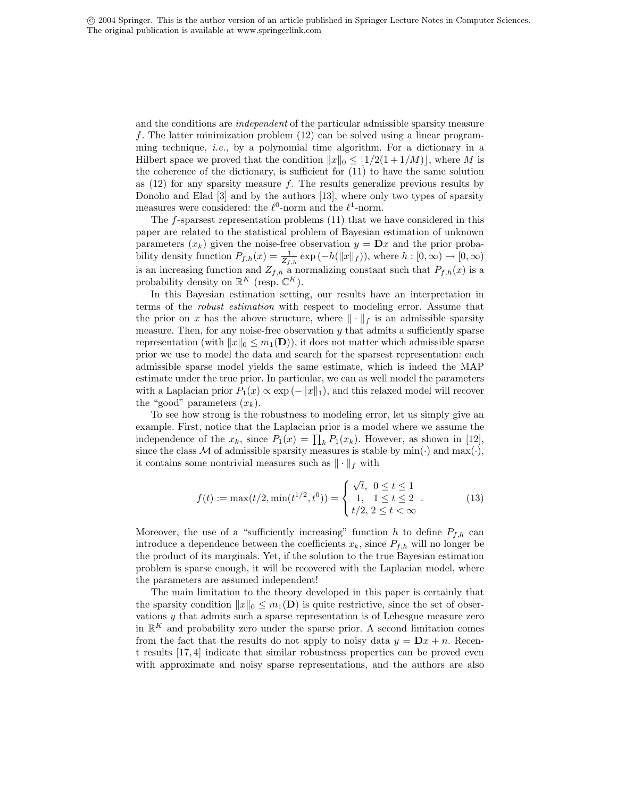and the conditions are independent of the particular admissible sparsity measure f. The latter minimization problem  $(12)$  can be solved using a linear programming technique, *i.e.*, by a polynomial time algorithm. For a dictionary in a Hilbert space we proved that the condition  $||x||_0 \leq |1/2(1 + 1/M)|$ , where M is the coherence of the dictionary, is sufficient for (11) to have the same solution as  $(12)$  for any sparsity measure f. The results generalize previous results by Donoho and Elad [3] and by the authors [13], where only two types of sparsity measures were considered: the  $\ell^0$ -norm and the  $\ell^1$ -norm.

The f-sparsest representation problems (11) that we have considered in this paper are related to the statistical problem of Bayesian estimation of unknown parameters  $(x_k)$  given the noise-free observation  $y = \mathbf{D}x$  and the prior probability density function  $P_{f,h}(x) = \frac{1}{Z_{f,h}} \exp(-h(\|x\|_f)),$  where  $h : [0, \infty) \to [0, \infty)$ is an increasing function and  $Z_{f,h}$  a normalizing constant such that  $P_{f,h}(x)$  is a probability density on  $\mathbb{R}^K$  (resp.  $\mathbb{C}^K$ ).

In this Bayesian estimation setting, our results have an interpretation in terms of the robust estimation with respect to modeling error. Assume that the prior on x has the above structure, where  $\|\cdot\|_f$  is an admissible sparsity measure. Then, for any noise-free observation  $y$  that admits a sufficiently sparse representation (with  $||x||_0 \leq m_1(D)$ ), it does not matter which admissible sparse prior we use to model the data and search for the sparsest representation: each admissible sparse model yields the same estimate, which is indeed the MAP estimate under the true prior. In particular, we can as well model the parameters with a Laplacian prior  $P_1(x) \propto \exp(-||x||_1)$ , and this relaxed model will recover the "good" parameters  $(x_k)$ .

To see how strong is the robustness to modeling error, let us simply give an example. First, notice that the Laplacian prior is a model where we assume the independence of the  $x_k$ , since  $P_1(x) = \prod_k P_1(x_k)$ . However, as shown in [12], since the class M of admissible sparsity measures is stable by  $min(\cdot)$  and  $max(\cdot)$ , it contains some nontrivial measures such as  $\|\cdot\|_f$  with

$$
f(t) := \max(t/2, \min(t^{1/2}, t^0)) = \begin{cases} \sqrt{t}, & 0 \le t \le 1 \\ 1, & 1 \le t \le 2 \\ t/2, & 2 \le t < \infty \end{cases}
$$
 (13)

Moreover, the use of a "sufficiently increasing" function h to define  $P_{f,h}$  can introduce a dependence between the coefficients  $x_k$ , since  $P_{f,h}$  will no longer be the product of its marginals. Yet, if the solution to the true Bayesian estimation problem is sparse enough, it will be recovered with the Laplacian model, where the parameters are assumed independent!

The main limitation to the theory developed in this paper is certainly that the sparsity condition  $||x||_0 \leq m_1(\mathbf{D})$  is quite restrictive, since the set of observations y that admits such a sparse representation is of Lebesgue measure zero in  $\mathbb{R}^K$  and probability zero under the sparse prior. A second limitation comes from the fact that the results do not apply to noisy data  $y = Dx + n$ . Recent results [17, 4] indicate that similar robustness properties can be proved even with approximate and noisy sparse representations, and the authors are also